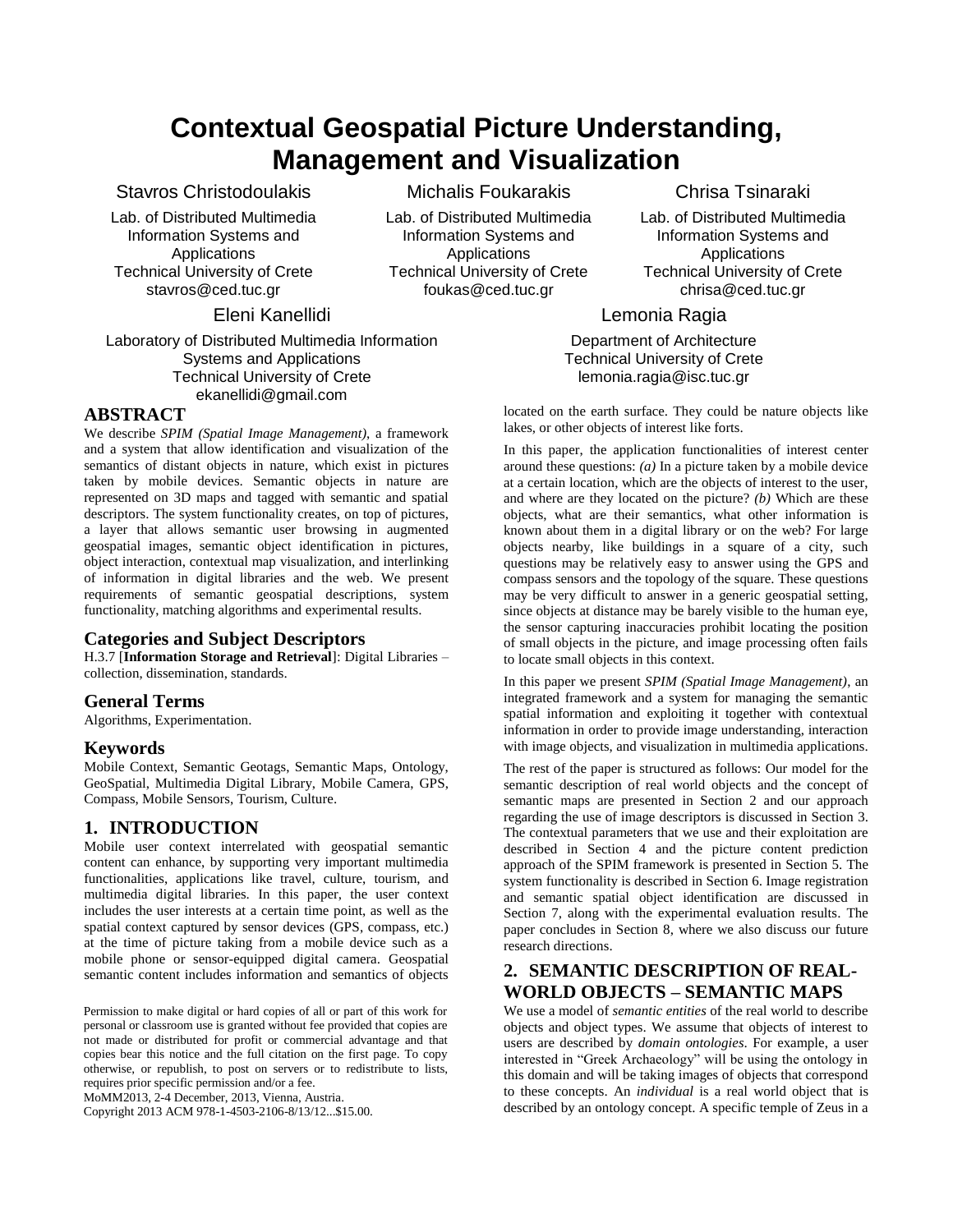## **Contextual Geospatial Picture Understanding, Management and Visualization**

Stavros Christodoulakis

Lab. of Distributed Multimedia Information Systems and **Applications** Technical University of Crete stavros@ced.tuc.gr

Michalis Foukarakis

Lab. of Distributed Multimedia Information Systems and Applications Technical University of Crete foukas@ced.tuc.gr

# Chrisa Tsinaraki

Lab. of Distributed Multimedia Information Systems and Applications Technical University of Crete chrisa@ced.tuc.gr

## Eleni Kanellidi

Laboratory of Distributed Multimedia Information Systems and Applications Technical University of Crete ekanellidi@gmail.com

#### **ABSTRACT**

We describe *SPIM (Spatial Image Management)*, a framework and a system that allow identification and visualization of the semantics of distant objects in nature, which exist in pictures taken by mobile devices. Semantic objects in nature are represented on 3D maps and tagged with semantic and spatial descriptors. The system functionality creates, on top of pictures, a layer that allows semantic user browsing in augmented geospatial images, semantic object identification in pictures, object interaction, contextual map visualization, and interlinking of information in digital libraries and the web. We present requirements of semantic geospatial descriptions, system functionality, matching algorithms and experimental results.

#### **Categories and Subject Descriptors**

H.3.7 [**Information Storage and Retrieval**]: Digital Libraries – collection, dissemination, standards.

#### **General Terms**

Algorithms, Experimentation.

#### **Keywords**

Mobile Context, Semantic Geotags, Semantic Maps, Ontology, GeoSpatial, Multimedia Digital Library, Mobile Camera, GPS, Compass, Mobile Sensors, Tourism, Culture.

#### **1. INTRODUCTION**

Mobile user context interrelated with geospatial semantic content can enhance, by supporting very important multimedia functionalities, applications like travel, culture, tourism, and multimedia digital libraries. In this paper, the user context includes the user interests at a certain time point, as well as the spatial context captured by sensor devices (GPS, compass, etc.) at the time of picture taking from a mobile device such as a mobile phone or sensor-equipped digital camera. Geospatial semantic content includes information and semantics of objects

Permission to make digital or hard copies of all or part of this work for personal or classroom use is granted without fee provided that copies are not made or distributed for profit or commercial advantage and that copies bear this notice and the full citation on the first page. To copy otherwise, or republish, to post on servers or to redistribute to lists, requires prior specific permission and/or a fee.

MoMM2013, 2-4 December, 2013, Vienna, Austria.

Copyright 2013 ACM 978-1-4503-2106-8/13/12...\$15.00.

In this paper, the application functionalities of interest center around these questions: *(a)* In a picture taken by a mobile device at a certain location, which are the objects of interest to the user, and where are they located on the picture? *(b)* Which are these objects, what are their semantics, what other information is known about them in a digital library or on the web? For large objects nearby, like buildings in a square of a city, such questions may be relatively easy to answer using the GPS and compass sensors and the topology of the square. These questions may be very difficult to answer in a generic geospatial setting, since objects at distance may be barely visible to the human eye, the sensor capturing inaccuracies prohibit locating the position of small objects in the picture, and image processing often fails to locate small objects in this context.

located on the earth surface. They could be nature objects like

Lemonia Ragia Department of Architecture Technical University of Crete lemonia.ragia@isc.tuc.gr

lakes, or other objects of interest like forts.

In this paper we present *SPIM (Spatial Image Management)*, an integrated framework and a system for managing the semantic spatial information and exploiting it together with contextual information in order to provide image understanding, interaction with image objects, and visualization in multimedia applications.

The rest of the paper is structured as follows: Our model for the semantic description of real world objects and the concept of semantic maps are presented in Section [2](#page-0-0) and our approach regarding the use of image descriptors is discussed in Section [3.](#page-1-0) The contextual parameters that we use and their exploitation are described in Section [4](#page-1-1) and the picture content prediction approach of the SPIM framework is presented in Section [5.](#page-2-0) The system functionality is described in Section [6.](#page-2-1) Image registration and semantic spatial object identification are discussed in Section [7,](#page-2-2) along with the experimental evaluation results. The paper concludes in Section [8,](#page-4-0) where we also discuss our future research directions.

## <span id="page-0-0"></span>**2. SEMANTIC DESCRIPTION OF REAL-WORLD OBJECTS – SEMANTIC MAPS**

We use a model of *semantic entities* of the real world to describe objects and object types. We assume that objects of interest to users are described by *domain ontologies*. For example, a user interested in "Greek Archaeology" will be using the ontology in this domain and will be taking images of objects that correspond to these concepts. An *individual* is a real world object that is described by an ontology concept. A specific temple of Zeus in a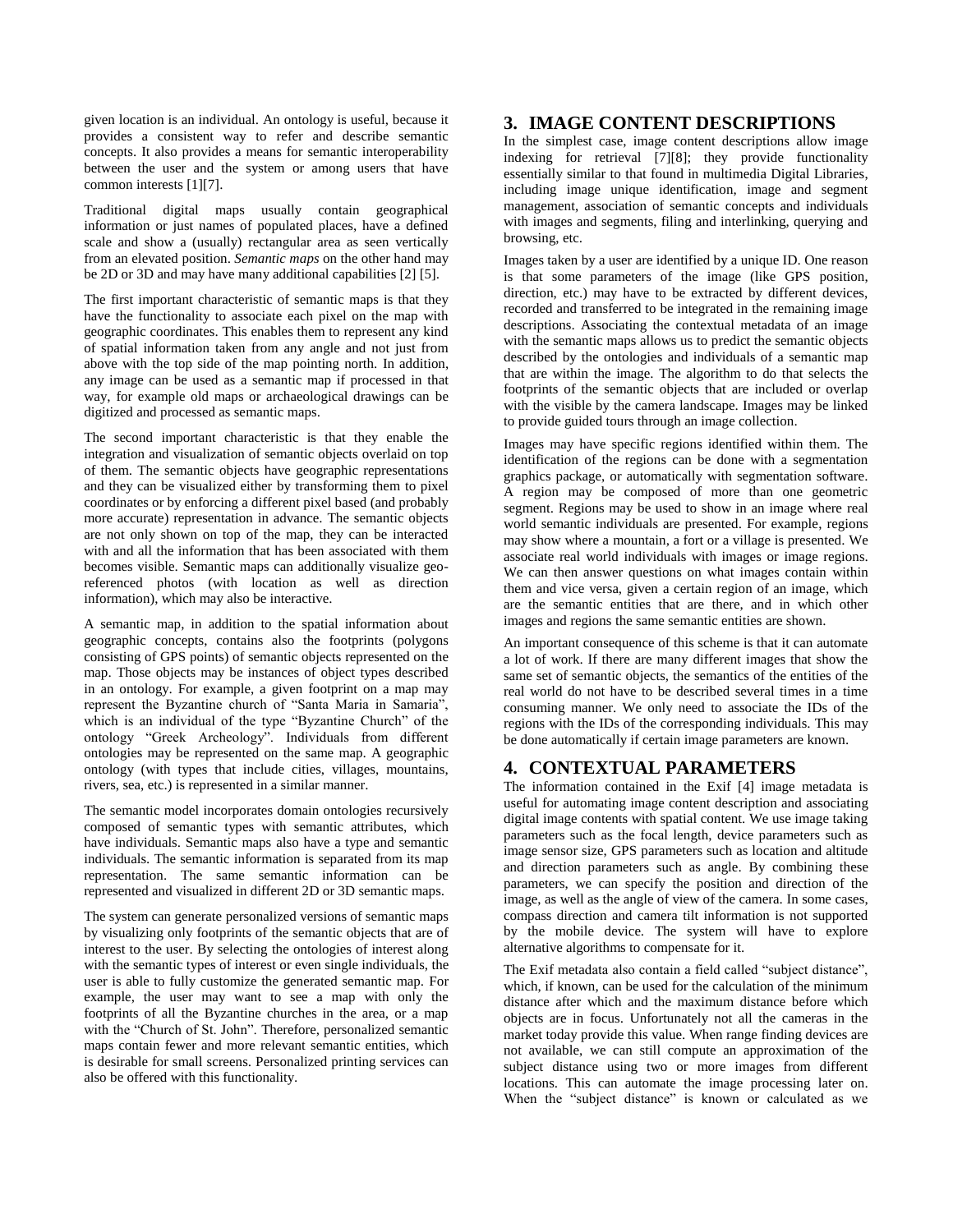given location is an individual. An ontology is useful, because it provides a consistent way to refer and describe semantic concepts. It also provides a means for semantic interoperability between the user and the system or among users that have common interests [\[1\]\[7\].](#page-4-1)

Traditional digital maps usually contain geographical information or just names of populated places, have a defined scale and show a (usually) rectangular area as seen vertically from an elevated position. *Semantic maps* on the other hand may be 2D or 3D and may have many additional capabilities [\[2\]](#page-4-2) [\[5\].](#page-4-3)

The first important characteristic of semantic maps is that they have the functionality to associate each pixel on the map with geographic coordinates. This enables them to represent any kind of spatial information taken from any angle and not just from above with the top side of the map pointing north. In addition, any image can be used as a semantic map if processed in that way, for example old maps or archaeological drawings can be digitized and processed as semantic maps.

The second important characteristic is that they enable the integration and visualization of semantic objects overlaid on top of them. The semantic objects have geographic representations and they can be visualized either by transforming them to pixel coordinates or by enforcing a different pixel based (and probably more accurate) representation in advance. The semantic objects are not only shown on top of the map, they can be interacted with and all the information that has been associated with them becomes visible. Semantic maps can additionally visualize georeferenced photos (with location as well as direction information), which may also be interactive.

A semantic map, in addition to the spatial information about geographic concepts, contains also the footprints (polygons consisting of GPS points) of semantic objects represented on the map. Those objects may be instances of object types described in an ontology. For example, a given footprint on a map may represent the Byzantine church of "Santa Maria in Samaria", which is an individual of the type "Byzantine Church" of the ontology "Greek Archeology". Individuals from different ontologies may be represented on the same map. A geographic ontology (with types that include cities, villages, mountains, rivers, sea, etc.) is represented in a similar manner.

The semantic model incorporates domain ontologies recursively composed of semantic types with semantic attributes, which have individuals. Semantic maps also have a type and semantic individuals. The semantic information is separated from its map representation. The same semantic information can be represented and visualized in different 2D or 3D semantic maps.

The system can generate personalized versions of semantic maps by visualizing only footprints of the semantic objects that are of interest to the user. By selecting the ontologies of interest along with the semantic types of interest or even single individuals, the user is able to fully customize the generated semantic map. For example, the user may want to see a map with only the footprints of all the Byzantine churches in the area, or a map with the "Church of St. John". Therefore, personalized semantic maps contain fewer and more relevant semantic entities, which is desirable for small screens. Personalized printing services can also be offered with this functionality.

#### <span id="page-1-0"></span>**3. IMAGE CONTENT DESCRIPTIONS**

In the simplest case, image content descriptions allow image indexing for retrieval [\[7\]\[8\];](#page-4-4) they provide functionality essentially similar to that found in multimedia Digital Libraries, including image unique identification, image and segment management, association of semantic concepts and individuals with images and segments, filing and interlinking, querying and browsing, etc.

Images taken by a user are identified by a unique ID. One reason is that some parameters of the image (like GPS position, direction, etc.) may have to be extracted by different devices, recorded and transferred to be integrated in the remaining image descriptions. Associating the contextual metadata of an image with the semantic maps allows us to predict the semantic objects described by the ontologies and individuals of a semantic map that are within the image. The algorithm to do that selects the footprints of the semantic objects that are included or overlap with the visible by the camera landscape. Images may be linked to provide guided tours through an image collection.

Images may have specific regions identified within them. The identification of the regions can be done with a segmentation graphics package, or automatically with segmentation software. A region may be composed of more than one geometric segment. Regions may be used to show in an image where real world semantic individuals are presented. For example, regions may show where a mountain, a fort or a village is presented. We associate real world individuals with images or image regions. We can then answer questions on what images contain within them and vice versa, given a certain region of an image, which are the semantic entities that are there, and in which other images and regions the same semantic entities are shown.

An important consequence of this scheme is that it can automate a lot of work. If there are many different images that show the same set of semantic objects, the semantics of the entities of the real world do not have to be described several times in a time consuming manner. We only need to associate the IDs of the regions with the IDs of the corresponding individuals. This may be done automatically if certain image parameters are known.

#### <span id="page-1-1"></span>**4. CONTEXTUAL PARAMETERS**

The information contained in the Exif [\[4\]](#page-4-5) image metadata is useful for automating image content description and associating digital image contents with spatial content. We use image taking parameters such as the focal length, device parameters such as image sensor size, GPS parameters such as location and altitude and direction parameters such as angle. By combining these parameters, we can specify the position and direction of the image, as well as the angle of view of the camera. In some cases, compass direction and camera tilt information is not supported by the mobile device. The system will have to explore alternative algorithms to compensate for it.

The Exif metadata also contain a field called "subject distance", which, if known, can be used for the calculation of the minimum distance after which and the maximum distance before which objects are in focus. Unfortunately not all the cameras in the market today provide this value. When range finding devices are not available, we can still compute an approximation of the subject distance using two or more images from different locations. This can automate the image processing later on. When the "subject distance" is known or calculated as we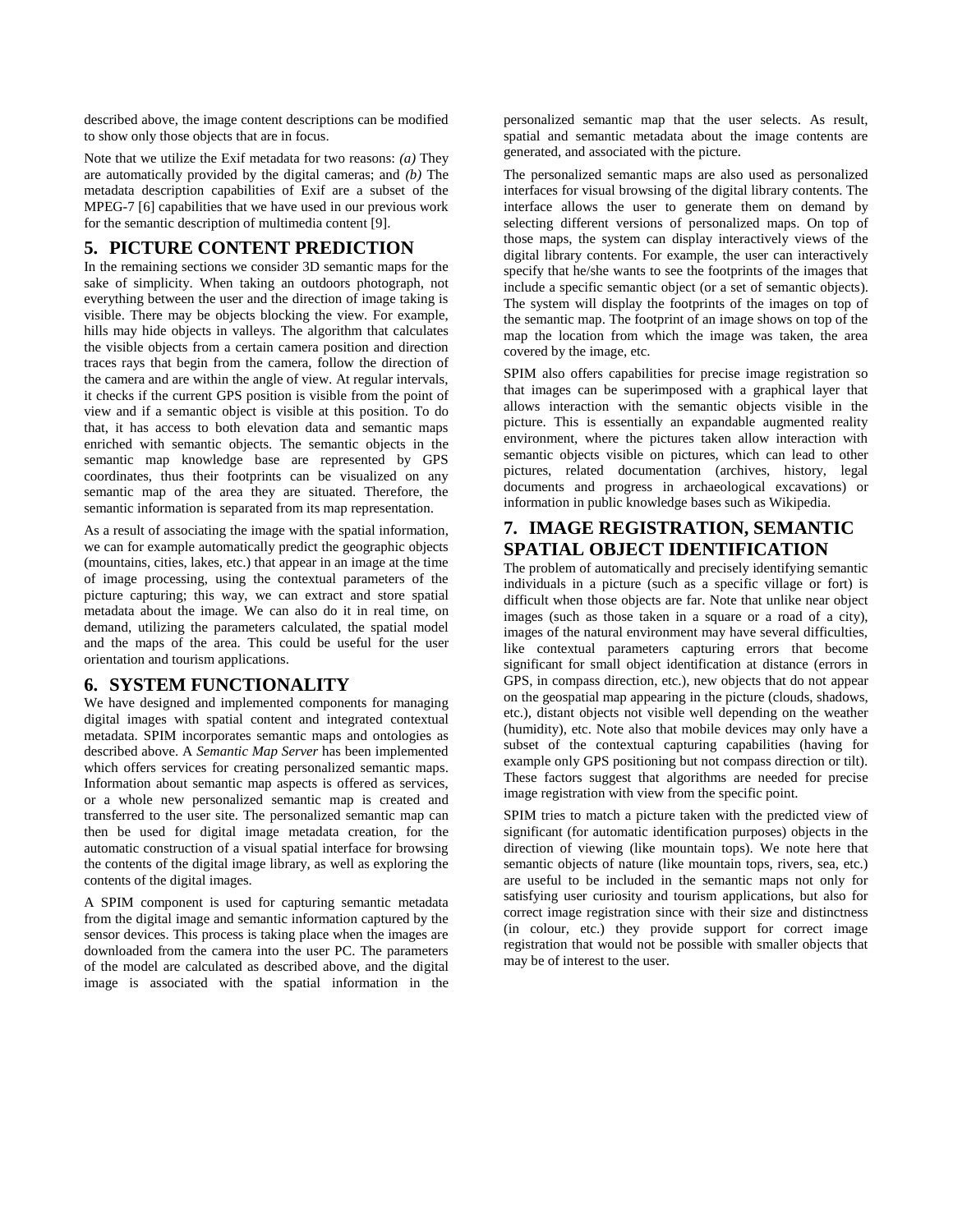described above, the image content descriptions can be modified to show only those objects that are in focus.

Note that we utilize the Exif metadata for two reasons: *(a)* They are automatically provided by the digital cameras; and *(b)* The metadata description capabilities of Exif are a subset of the MPEG-7 [\[6\]](#page-4-6) capabilities that we have used in our previous work for the semantic description of multimedia content [\[9\].](#page-4-7)

## <span id="page-2-0"></span>**5. PICTURE CONTENT PREDICTION**

In the remaining sections we consider 3D semantic maps for the sake of simplicity. When taking an outdoors photograph, not everything between the user and the direction of image taking is visible. There may be objects blocking the view. For example, hills may hide objects in valleys. The algorithm that calculates the visible objects from a certain camera position and direction traces rays that begin from the camera, follow the direction of the camera and are within the angle of view. At regular intervals, it checks if the current GPS position is visible from the point of view and if a semantic object is visible at this position. To do that, it has access to both elevation data and semantic maps enriched with semantic objects. The semantic objects in the semantic map knowledge base are represented by GPS coordinates, thus their footprints can be visualized on any semantic map of the area they are situated. Therefore, the semantic information is separated from its map representation.

As a result of associating the image with the spatial information, we can for example automatically predict the geographic objects (mountains, cities, lakes, etc.) that appear in an image at the time of image processing, using the contextual parameters of the picture capturing; this way, we can extract and store spatial metadata about the image. We can also do it in real time, on demand, utilizing the parameters calculated, the spatial model and the maps of the area. This could be useful for the user orientation and tourism applications.

#### <span id="page-2-1"></span>**6. SYSTEM FUNCTIONALITY**

We have designed and implemented components for managing digital images with spatial content and integrated contextual metadata. SPIM incorporates semantic maps and ontologies as described above. A *Semantic Map Server* has been implemented which offers services for creating personalized semantic maps. Information about semantic map aspects is offered as services, or a whole new personalized semantic map is created and transferred to the user site. The personalized semantic map can then be used for digital image metadata creation, for the automatic construction of a visual spatial interface for browsing the contents of the digital image library, as well as exploring the contents of the digital images.

A SPIM component is used for capturing semantic metadata from the digital image and semantic information captured by the sensor devices. This process is taking place when the images are downloaded from the camera into the user PC. The parameters of the model are calculated as described above, and the digital image is associated with the spatial information in the

personalized semantic map that the user selects. As result, spatial and semantic metadata about the image contents are generated, and associated with the picture.

The personalized semantic maps are also used as personalized interfaces for visual browsing of the digital library contents. The interface allows the user to generate them on demand by selecting different versions of personalized maps. On top of those maps, the system can display interactively views of the digital library contents. For example, the user can interactively specify that he/she wants to see the footprints of the images that include a specific semantic object (or a set of semantic objects). The system will display the footprints of the images on top of the semantic map. The footprint of an image shows on top of the map the location from which the image was taken, the area covered by the image, etc.

SPIM also offers capabilities for precise image registration so that images can be superimposed with a graphical layer that allows interaction with the semantic objects visible in the picture. This is essentially an expandable augmented reality environment, where the pictures taken allow interaction with semantic objects visible on pictures, which can lead to other pictures, related documentation (archives, history, legal documents and progress in archaeological excavations) or information in public knowledge bases such as Wikipedia.

## <span id="page-2-2"></span>**7. IMAGE REGISTRATION, SEMANTIC SPATIAL OBJECT IDENTIFICATION**

The problem of automatically and precisely identifying semantic individuals in a picture (such as a specific village or fort) is difficult when those objects are far. Note that unlike near object images (such as those taken in a square or a road of a city), images of the natural environment may have several difficulties, like contextual parameters capturing errors that become significant for small object identification at distance (errors in GPS, in compass direction, etc.), new objects that do not appear on the geospatial map appearing in the picture (clouds, shadows, etc.), distant objects not visible well depending on the weather (humidity), etc. Note also that mobile devices may only have a subset of the contextual capturing capabilities (having for example only GPS positioning but not compass direction or tilt). These factors suggest that algorithms are needed for precise image registration with view from the specific point.

SPIM tries to match a picture taken with the predicted view of significant (for automatic identification purposes) objects in the direction of viewing (like mountain tops). We note here that semantic objects of nature (like mountain tops, rivers, sea, etc.) are useful to be included in the semantic maps not only for satisfying user curiosity and tourism applications, but also for correct image registration since with their size and distinctness (in colour, etc.) they provide support for correct image registration that would not be possible with smaller objects that may be of interest to the user.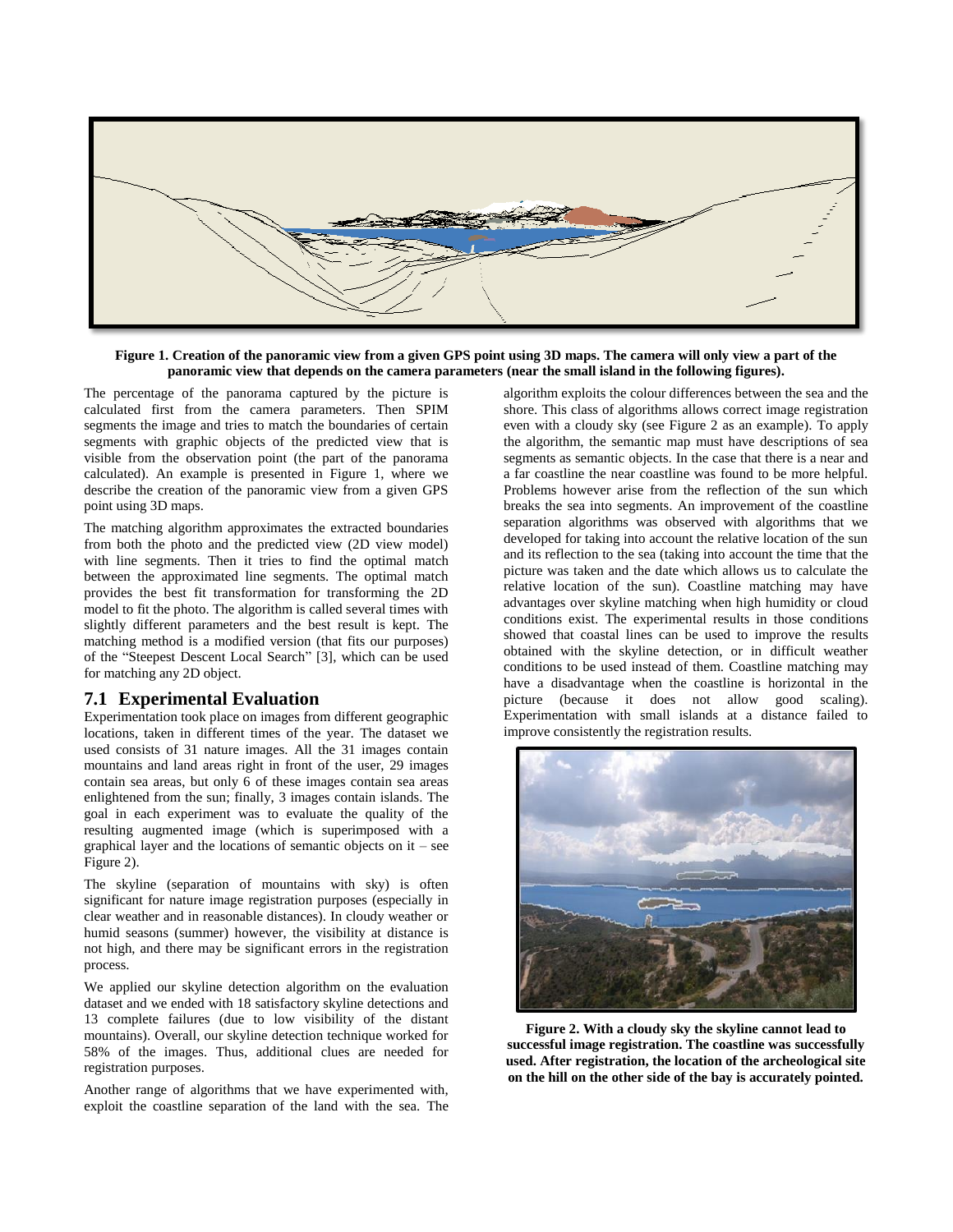

**Figure 1. Creation of the panoramic view from a given GPS point using 3D maps. The camera will only view a part of the panoramic view that depends on the camera parameters (near the small island in the following figures).**

<span id="page-3-0"></span>The percentage of the panorama captured by the picture is calculated first from the camera parameters. Then SPIM segments the image and tries to match the boundaries of certain segments with graphic objects of the predicted view that is visible from the observation point (the part of the panorama calculated). An example is presented in [Figure 1,](#page-3-0) where we describe the creation of the panoramic view from a given GPS point using 3D maps.

The matching algorithm approximates the extracted boundaries from both the photo and the predicted view (2D view model) with line segments. Then it tries to find the optimal match between the approximated line segments. The optimal match provides the best fit transformation for transforming the 2D model to fit the photo. The algorithm is called several times with slightly different parameters and the best result is kept. The matching method is a modified version (that fits our purposes) of the "Steepest Descent Local Search" [\[3\],](#page-4-8) which can be used for matching any 2D object.

#### **7.1 Experimental Evaluation**

Experimentation took place on images from different geographic locations, taken in different times of the year. The dataset we used consists of 31 nature images. All the 31 images contain mountains and land areas right in front of the user, 29 images contain sea areas, but only 6 of these images contain sea areas enlightened from the sun; finally, 3 images contain islands. The goal in each experiment was to evaluate the quality of the resulting augmented image (which is superimposed with a graphical layer and the locations of semantic objects on it – see [Figure 2\)](#page-3-1).

The skyline (separation of mountains with sky) is often significant for nature image registration purposes (especially in clear weather and in reasonable distances). In cloudy weather or humid seasons (summer) however, the visibility at distance is not high, and there may be significant errors in the registration process.

We applied our skyline detection algorithm on the evaluation dataset and we ended with 18 satisfactory skyline detections and 13 complete failures (due to low visibility of the distant mountains). Overall, our skyline detection technique worked for 58% of the images. Thus, additional clues are needed for registration purposes.

Another range of algorithms that we have experimented with, exploit the coastline separation of the land with the sea. The

algorithm exploits the colour differences between the sea and the shore. This class of algorithms allows correct image registration even with a cloudy sky (see [Figure 2](#page-3-1) as an example). To apply the algorithm, the semantic map must have descriptions of sea segments as semantic objects. In the case that there is a near and a far coastline the near coastline was found to be more helpful. Problems however arise from the reflection of the sun which breaks the sea into segments. An improvement of the coastline separation algorithms was observed with algorithms that we developed for taking into account the relative location of the sun and its reflection to the sea (taking into account the time that the picture was taken and the date which allows us to calculate the relative location of the sun). Coastline matching may have advantages over skyline matching when high humidity or cloud conditions exist. The experimental results in those conditions showed that coastal lines can be used to improve the results obtained with the skyline detection, or in difficult weather conditions to be used instead of them. Coastline matching may have a disadvantage when the coastline is horizontal in the picture (because it does not allow good scaling). Experimentation with small islands at a distance failed to improve consistently the registration results.

<span id="page-3-1"></span>

**Figure 2. With a cloudy sky the skyline cannot lead to successful image registration. The coastline was successfully used. After registration, the location of the archeological site on the hill on the other side of the bay is accurately pointed.**